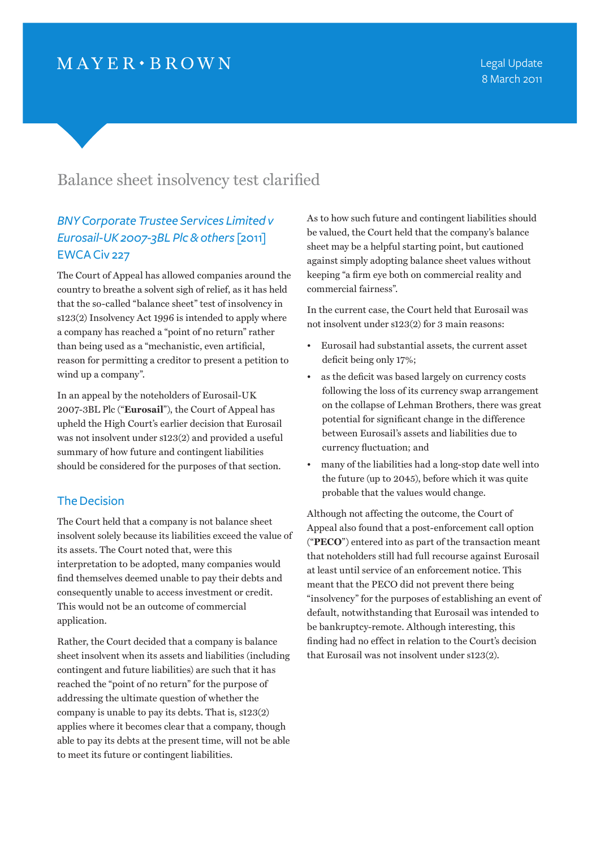# $MAYER \cdot BROWN$

# Balance sheet insolvency test clarified

## *BNY Corporate Trustee Services Limited v Eurosail-UK 2007-3BL Plc & others* [2011] EWCA Civ 227

The Court of Appeal has allowed companies around the country to breathe a solvent sigh of relief, as it has held that the so-called "balance sheet" test of insolvency in s123(2) Insolvency Act 1996 is intended to apply where a company has reached a "point of no return" rather than being used as a "mechanistic, even artificial, reason for permitting a creditor to present a petition to wind up a company".

In an appeal by the noteholders of Eurosail-UK 2007-3BL Plc ("**Eurosail**"), the Court of Appeal has upheld the High Court's earlier decision that Eurosail was not insolvent under s123(2) and provided a useful summary of how future and contingent liabilities should be considered for the purposes of that section.

### The Decision

The Court held that a company is not balance sheet insolvent solely because its liabilities exceed the value of its assets. The Court noted that, were this interpretation to be adopted, many companies would find themselves deemed unable to pay their debts and consequently unable to access investment or credit. This would not be an outcome of commercial application.

Rather, the Court decided that a company is balance sheet insolvent when its assets and liabilities (including contingent and future liabilities) are such that it has reached the "point of no return" for the purpose of addressing the ultimate question of whether the company is unable to pay its debts. That is, s123(2) applies where it becomes clear that a company, though able to pay its debts at the present time, will not be able to meet its future or contingent liabilities.

As to how such future and contingent liabilities should be valued, the Court held that the company's balance sheet may be a helpful starting point, but cautioned against simply adopting balance sheet values without keeping "a firm eye both on commercial reality and commercial fairness".

In the current case, the Court held that Eurosail was not insolvent under s123(2) for 3 main reasons:

- Eurosail had substantial assets, the current asset deficit being only 17%;
- as the deficit was based largely on currency costs following the loss of its currency swap arrangement on the collapse of Lehman Brothers, there was great potential for significant change in the difference between Eurosail's assets and liabilities due to currency fluctuation; and
- many of the liabilities had a long-stop date well into the future (up to 2045), before which it was quite probable that the values would change.

Although not affecting the outcome, the Court of Appeal also found that a post-enforcement call option ("**PECO**") entered into as part of the transaction meant that noteholders still had full recourse against Eurosail at least until service of an enforcement notice. This meant that the PECO did not prevent there being "insolvency" for the purposes of establishing an event of default, notwithstanding that Eurosail was intended to be bankruptcy-remote. Although interesting, this finding had no effect in relation to the Court's decision that Eurosail was not insolvent under s123(2).